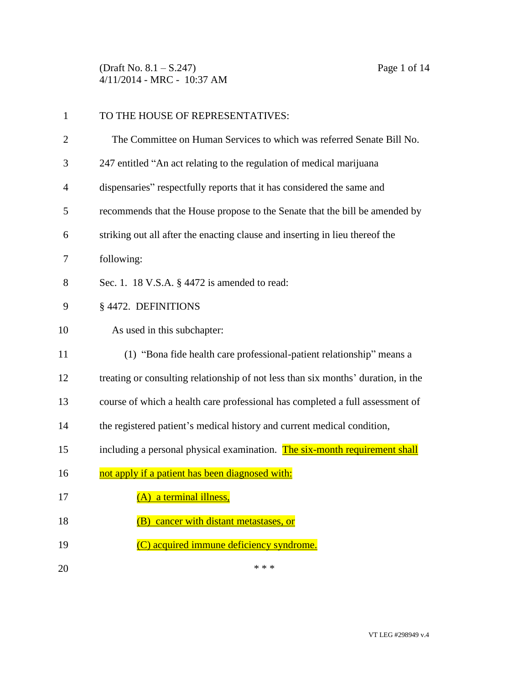(Draft No. 8.1 – S.247) Page 1 of 14 4/11/2014 - MRC - 10:37 AM

| $\mathbf{1}$ | TO THE HOUSE OF REPRESENTATIVES:                                                  |
|--------------|-----------------------------------------------------------------------------------|
| 2            | The Committee on Human Services to which was referred Senate Bill No.             |
| 3            | 247 entitled "An act relating to the regulation of medical marijuana              |
| 4            | dispensaries" respectfully reports that it has considered the same and            |
| 5            | recommends that the House propose to the Senate that the bill be amended by       |
| 6            | striking out all after the enacting clause and inserting in lieu thereof the      |
| 7            | following:                                                                        |
| 8            | Sec. 1. 18 V.S.A. § 4472 is amended to read:                                      |
| 9            | § 4472. DEFINITIONS                                                               |
| 10           | As used in this subchapter:                                                       |
| 11           | (1) "Bona fide health care professional-patient relationship" means a             |
| 12           | treating or consulting relationship of not less than six months' duration, in the |
| 13           | course of which a health care professional has completed a full assessment of     |
| 14           | the registered patient's medical history and current medical condition,           |
| 15           | including a personal physical examination. The six-month requirement shall        |
| 16           | not apply if a patient has been diagnosed with:                                   |
| 17           | (A) a terminal illness,                                                           |
| 18           | cancer with distant metastases, or<br>(B)                                         |
| 19           | (C) acquired immune deficiency syndrome.                                          |
| 20           | * * *                                                                             |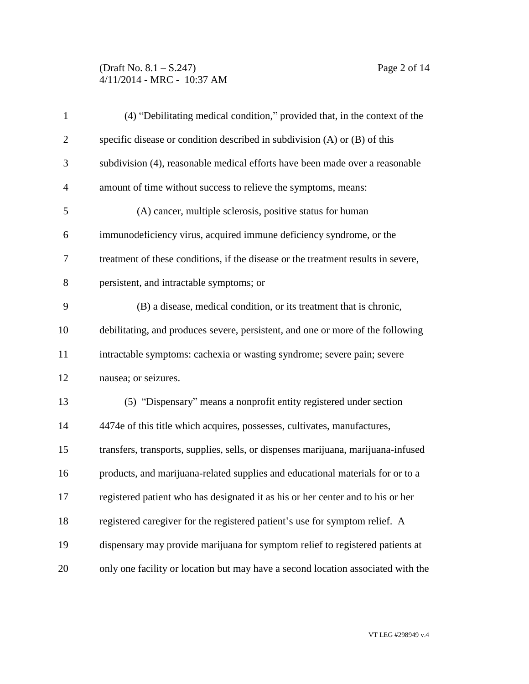(Draft No. 8.1 – S.247) Page 2 of 14 4/11/2014 - MRC - 10:37 AM

| $\mathbf{1}$   | (4) "Debilitating medical condition," provided that, in the context of the        |
|----------------|-----------------------------------------------------------------------------------|
| $\overline{2}$ | specific disease or condition described in subdivision $(A)$ or $(B)$ of this     |
| 3              | subdivision (4), reasonable medical efforts have been made over a reasonable      |
| $\overline{4}$ | amount of time without success to relieve the symptoms, means:                    |
| 5              | (A) cancer, multiple sclerosis, positive status for human                         |
| 6              | immunodeficiency virus, acquired immune deficiency syndrome, or the               |
| 7              | treatment of these conditions, if the disease or the treatment results in severe, |
| 8              | persistent, and intractable symptoms; or                                          |
| 9              | (B) a disease, medical condition, or its treatment that is chronic,               |
| 10             | debilitating, and produces severe, persistent, and one or more of the following   |
| 11             | intractable symptoms: cachexia or wasting syndrome; severe pain; severe           |
| 12             | nausea; or seizures.                                                              |
| 13             | (5) "Dispensary" means a nonprofit entity registered under section                |
| 14             | 4474e of this title which acquires, possesses, cultivates, manufactures,          |
| 15             | transfers, transports, supplies, sells, or dispenses marijuana, marijuana-infused |
| 16             | products, and marijuana-related supplies and educational materials for or to a    |
| 17             | registered patient who has designated it as his or her center and to his or her   |
| 18             | registered caregiver for the registered patient's use for symptom relief. A       |
| 19             | dispensary may provide marijuana for symptom relief to registered patients at     |
| 20             | only one facility or location but may have a second location associated with the  |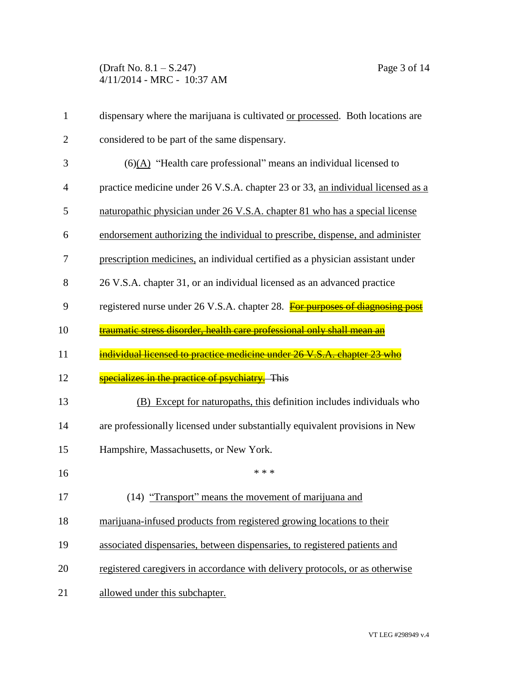(Draft No. 8.1 – S.247) Page 3 of 14 4/11/2014 - MRC - 10:37 AM

| $\mathbf{1}$ | dispensary where the marijuana is cultivated or processed. Both locations are   |
|--------------|---------------------------------------------------------------------------------|
| 2            | considered to be part of the same dispensary.                                   |
| 3            | $(6)(A)$ "Health care professional" means an individual licensed to             |
| 4            | practice medicine under 26 V.S.A. chapter 23 or 33, an individual licensed as a |
| 5            | naturopathic physician under 26 V.S.A. chapter 81 who has a special license     |
| 6            | endorsement authorizing the individual to prescribe, dispense, and administer   |
| 7            | prescription medicines, an individual certified as a physician assistant under  |
| 8            | 26 V.S.A. chapter 31, or an individual licensed as an advanced practice         |
| 9            | registered nurse under 26 V.S.A. chapter 28. For purposes of diagnosin          |
| 10           | traumatic stress disorder, health care professional only shall mean an          |
| 11           | individual licensed to practice medicine under 26 V.S.A. chapter 23 who         |
| 12           | specializes in the practice of psychiatry. This                                 |
| 13           | Except for naturopaths, this definition includes individuals who<br>(B)         |
| 14           | are professionally licensed under substantially equivalent provisions in New    |
| 15           | Hampshire, Massachusetts, or New York.                                          |
| 16           | * * *                                                                           |
| 17           | (14) "Transport" means the movement of marijuana and                            |
| 18           | marijuana-infused products from registered growing locations to their           |
| 19           | associated dispensaries, between dispensaries, to registered patients and       |
| 20           | registered caregivers in accordance with delivery protocols, or as otherwise    |
| 21           | allowed under this subchapter.                                                  |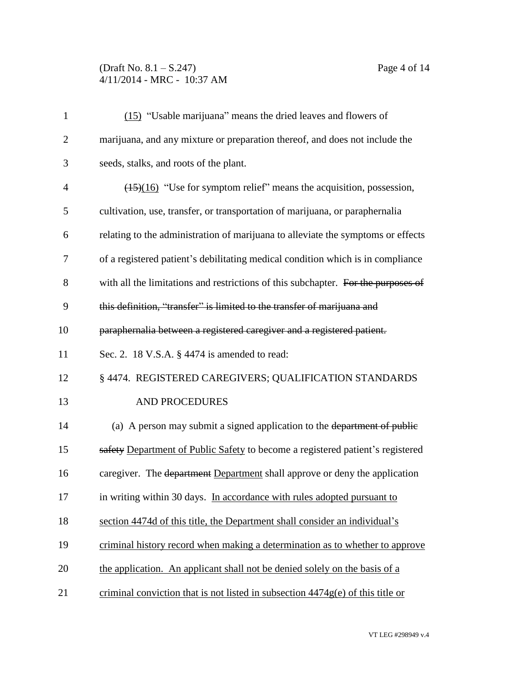## (Draft No. 8.1 – S.247) Page 4 of 14 4/11/2014 - MRC - 10:37 AM

| $\mathbf{1}$   | (15) "Usable marijuana" means the dried leaves and flowers of                           |
|----------------|-----------------------------------------------------------------------------------------|
| $\overline{2}$ | marijuana, and any mixture or preparation thereof, and does not include the             |
| 3              | seeds, stalks, and roots of the plant.                                                  |
| $\overline{4}$ | $\frac{(15)(16)}{(15)(16)}$ "Use for symptom relief" means the acquisition, possession, |
| 5              | cultivation, use, transfer, or transportation of marijuana, or paraphernalia            |
| 6              | relating to the administration of marijuana to alleviate the symptoms or effects        |
| 7              | of a registered patient's debilitating medical condition which is in compliance         |
| 8              | with all the limitations and restrictions of this subchapter. For the purposes of       |
| 9              | this definition, "transfer" is limited to the transfer of marijuana and                 |
| 10             | paraphernalia between a registered caregiver and a registered patient.                  |
| 11             | Sec. 2. 18 V.S.A. § 4474 is amended to read:                                            |
| 12             | § 4474. REGISTERED CAREGIVERS; QUALIFICATION STANDARDS                                  |
| 13             | <b>AND PROCEDURES</b>                                                                   |
| 14             | (a) A person may submit a signed application to the department of public                |
| 15             | safety Department of Public Safety to become a registered patient's registered          |
| 16             | caregiver. The department Department shall approve or deny the application              |
| 17             | in writing within 30 days. In accordance with rules adopted pursuant to                 |
| 18             | section 4474d of this title, the Department shall consider an individual's              |
| 19             | criminal history record when making a determination as to whether to approve            |
| 20             | the application. An applicant shall not be denied solely on the basis of a              |
| 21             | criminal conviction that is not listed in subsection $4474g(e)$ of this title or        |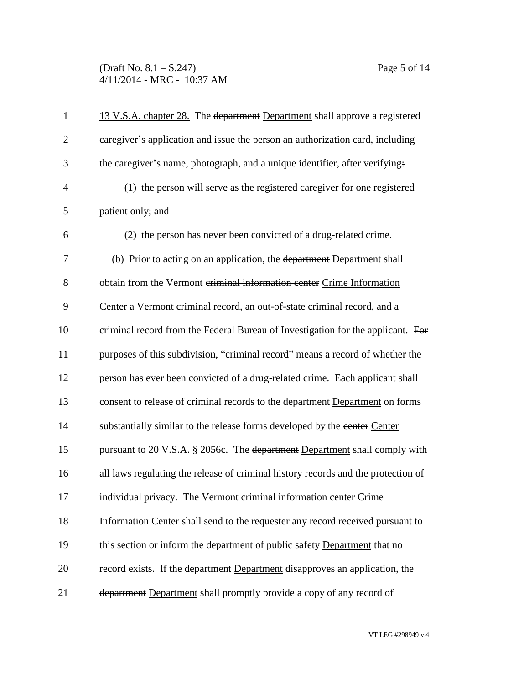(Draft No. 8.1 – S.247) Page 5 of 14 4/11/2014 - MRC - 10:37 AM

| $\mathbf{1}$   | 13 V.S.A. chapter 28. The department Department shall approve a registered        |
|----------------|-----------------------------------------------------------------------------------|
| $\overline{2}$ | caregiver's application and issue the person an authorization card, including     |
| 3              | the caregiver's name, photograph, and a unique identifier, after verifying.       |
| $\overline{4}$ | $(1)$ the person will serve as the registered caregiver for one registered        |
| 5              | patient only; and                                                                 |
| 6              | (2) the person has never been convicted of a drug-related crime.                  |
| 7              | (b) Prior to acting on an application, the department Department shall            |
| 8              | obtain from the Vermont criminal information center Crime Information             |
| 9              | Center a Vermont criminal record, an out-of-state criminal record, and a          |
| 10             | criminal record from the Federal Bureau of Investigation for the applicant. For   |
| 11             | purposes of this subdivision, "criminal record" means a record of whether the     |
| 12             | person has ever been convicted of a drug-related crime. Each applicant shall      |
| 13             | consent to release of criminal records to the department Department on forms      |
| 14             | substantially similar to the release forms developed by the eenter Center         |
| 15             | pursuant to 20 V.S.A. § 2056c. The department Department shall comply with        |
| 16             | all laws regulating the release of criminal history records and the protection of |
| 17             | individual privacy. The Vermont criminal information center Crime                 |
| 18             | Information Center shall send to the requester any record received pursuant to    |
| 19             | this section or inform the department of public safety Department that no         |
| 20             | record exists. If the department Department disapproves an application, the       |
| 21             | department Department shall promptly provide a copy of any record of              |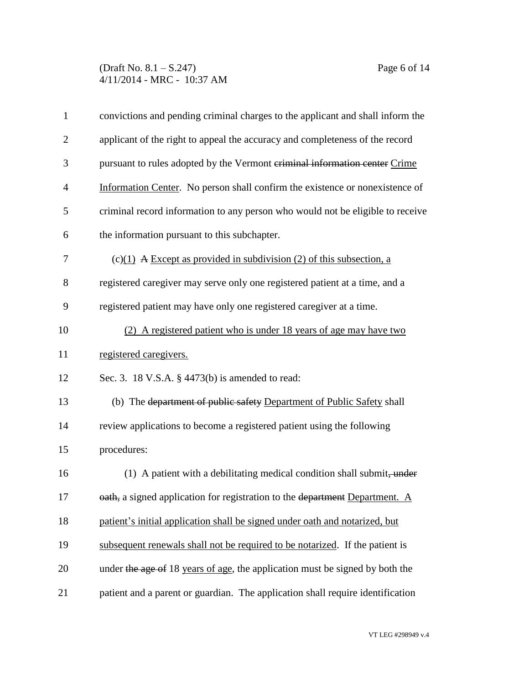(Draft No. 8.1 – S.247) Page 6 of 14 4/11/2014 - MRC - 10:37 AM

| $\mathbf{1}$   | convictions and pending criminal charges to the applicant and shall inform the      |
|----------------|-------------------------------------------------------------------------------------|
| $\overline{2}$ | applicant of the right to appeal the accuracy and completeness of the record        |
| 3              | pursuant to rules adopted by the Vermont criminal information center Crime          |
| $\overline{4}$ | Information Center. No person shall confirm the existence or nonexistence of        |
| 5              | criminal record information to any person who would not be eligible to receive      |
| 6              | the information pursuant to this subchapter.                                        |
| 7              | $(c)(1)$ A Except as provided in subdivision (2) of this subsection, a              |
| 8              | registered caregiver may serve only one registered patient at a time, and a         |
| 9              | registered patient may have only one registered caregiver at a time.                |
| 10             | (2) A registered patient who is under 18 years of age may have two                  |
| 11             | registered caregivers.                                                              |
| 12             | Sec. 3. 18 V.S.A. § 4473(b) is amended to read:                                     |
| 13             | (b) The department of public safety Department of Public Safety shall               |
| 14             | review applications to become a registered patient using the following              |
| 15             | procedures:                                                                         |
| 16             | (1) A patient with a debilitating medical condition shall submit, under             |
| 17             | <b>eath</b> , a signed application for registration to the department Department. A |
| 18             | patient's initial application shall be signed under oath and notarized, but         |
| 19             | subsequent renewals shall not be required to be notarized. If the patient is        |
| 20             | under the age of 18 years of age, the application must be signed by both the        |
| 21             | patient and a parent or guardian. The application shall require identification      |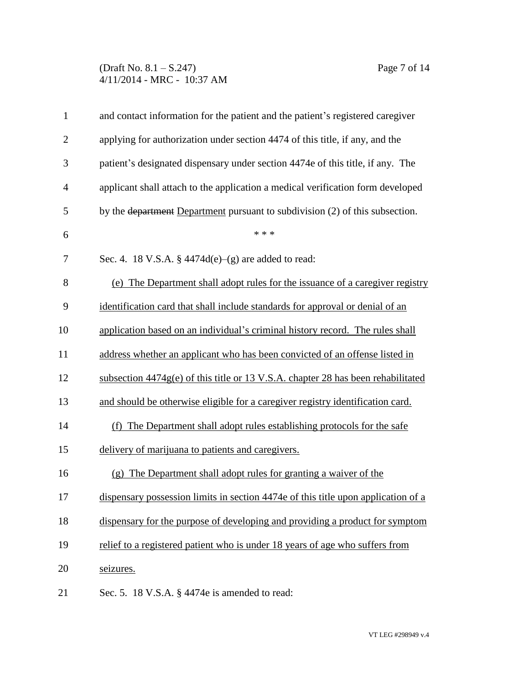## (Draft No. 8.1 – S.247) Page 7 of 14 4/11/2014 - MRC - 10:37 AM

| $\mathbf{1}$   | and contact information for the patient and the patient's registered caregiver    |
|----------------|-----------------------------------------------------------------------------------|
| $\overline{2}$ | applying for authorization under section 4474 of this title, if any, and the      |
| 3              | patient's designated dispensary under section 4474e of this title, if any. The    |
| $\overline{4}$ | applicant shall attach to the application a medical verification form developed   |
| 5              | by the department Department pursuant to subdivision (2) of this subsection.      |
| 6              | * * *                                                                             |
| 7              | Sec. 4. 18 V.S.A. $\frac{1}{9}$ 4474d(e)–(g) are added to read:                   |
| 8              | (e) The Department shall adopt rules for the issuance of a caregiver registry     |
| 9              | identification card that shall include standards for approval or denial of an     |
| 10             | application based on an individual's criminal history record. The rules shall     |
| 11             | address whether an applicant who has been convicted of an offense listed in       |
| 12             | subsection 4474g(e) of this title or 13 V.S.A. chapter 28 has been rehabilitated  |
| 13             | and should be otherwise eligible for a caregiver registry identification card.    |
| 14             | (f) The Department shall adopt rules establishing protocols for the safe          |
| 15             | delivery of marijuana to patients and caregivers.                                 |
| 16             | The Department shall adopt rules for granting a waiver of the<br>(g)              |
| 17             | dispensary possession limits in section 4474e of this title upon application of a |
| 18             | dispensary for the purpose of developing and providing a product for symptom      |
| 19             | relief to a registered patient who is under 18 years of age who suffers from      |
| 20             | seizures.                                                                         |
| 21             | Sec. 5. 18 V.S.A. § 4474e is amended to read:                                     |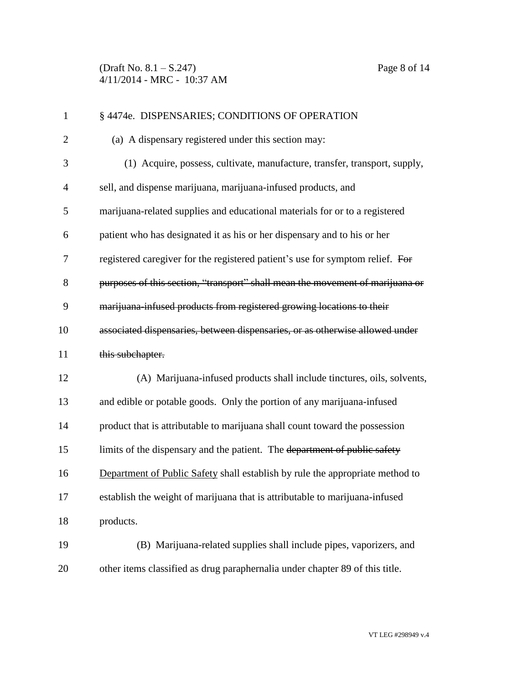(Draft No. 8.1 – S.247) Page 8 of 14 4/11/2014 - MRC - 10:37 AM

| $\mathbf{1}$   | § 4474e. DISPENSARIES; CONDITIONS OF OPERATION                                |
|----------------|-------------------------------------------------------------------------------|
| $\overline{2}$ | (a) A dispensary registered under this section may:                           |
| 3              | (1) Acquire, possess, cultivate, manufacture, transfer, transport, supply,    |
| 4              | sell, and dispense marijuana, marijuana-infused products, and                 |
| 5              | marijuana-related supplies and educational materials for or to a registered   |
| 6              | patient who has designated it as his or her dispensary and to his or her      |
| 7              | registered caregiver for the registered patient's use for symptom relief. For |
| 8              | purposes of this section, "transport" shall mean the movement of marijuana or |
| 9              | marijuana-infused products from registered growing locations to their         |
| 10             | associated dispensaries, between dispensaries, or as otherwise allowed under  |
| 11             | this subchapter.                                                              |
| 12             | (A) Marijuana-infused products shall include tinctures, oils, solvents,       |
| 13             | and edible or potable goods. Only the portion of any marijuana-infused        |
| 14             | product that is attributable to marijuana shall count toward the possession   |
| 15             | limits of the dispensary and the patient. The department of public safety     |
| 16             | Department of Public Safety shall establish by rule the appropriate method to |
| 17             | establish the weight of marijuana that is attributable to marijuana-infused   |
| 18             | products.                                                                     |
| 19             | (B) Marijuana-related supplies shall include pipes, vaporizers, and           |
| 20             | other items classified as drug paraphernalia under chapter 89 of this title.  |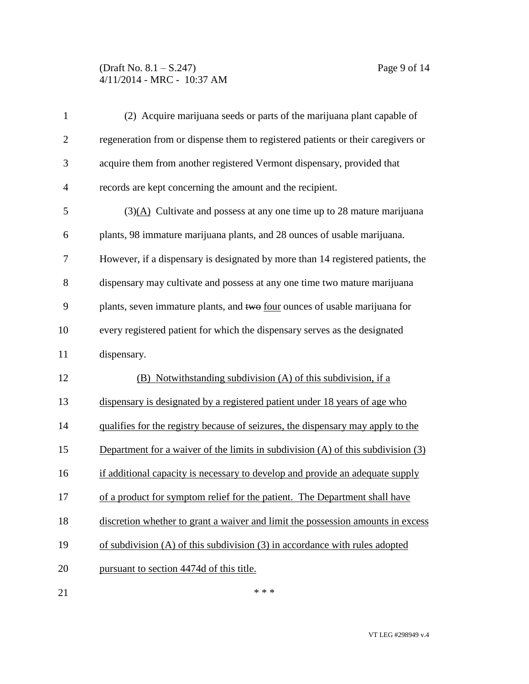## (Draft No. 8.1 – S.247) Page 9 of 14 4/11/2014 - MRC - 10:37 AM

| $\mathbf{1}$   | (2) Acquire marijuana seeds or parts of the marijuana plant capable of               |
|----------------|--------------------------------------------------------------------------------------|
| $\overline{2}$ | regeneration from or dispense them to registered patients or their caregivers or     |
| 3              | acquire them from another registered Vermont dispensary, provided that               |
| $\overline{4}$ | records are kept concerning the amount and the recipient.                            |
| 5              | $(3)(A)$ Cultivate and possess at any one time up to 28 mature marijuana             |
| 6              | plants, 98 immature marijuana plants, and 28 ounces of usable marijuana.             |
| 7              | However, if a dispensary is designated by more than 14 registered patients, the      |
| 8              | dispensary may cultivate and possess at any one time two mature marijuana            |
| 9              | plants, seven immature plants, and two <u>four</u> ounces of usable marijuana for    |
| 10             | every registered patient for which the dispensary serves as the designated           |
| 11             | dispensary.                                                                          |
| 12             | (B) Notwithstanding subdivision (A) of this subdivision, if a                        |
| 13             | dispensary is designated by a registered patient under 18 years of age who           |
| 14             | qualifies for the registry because of seizures, the dispensary may apply to the      |
| 15             | Department for a waiver of the limits in subdivision $(A)$ of this subdivision $(3)$ |
| 16             | if additional capacity is necessary to develop and provide an adequate supply        |
| 17             | of a product for symptom relief for the patient. The Department shall have           |
| 18             | discretion whether to grant a waiver and limit the possession amounts in excess      |
| 19             | of subdivision $(A)$ of this subdivision $(3)$ in accordance with rules adopted      |
| 20             | pursuant to section 4474d of this title.                                             |
| 21             | * * *                                                                                |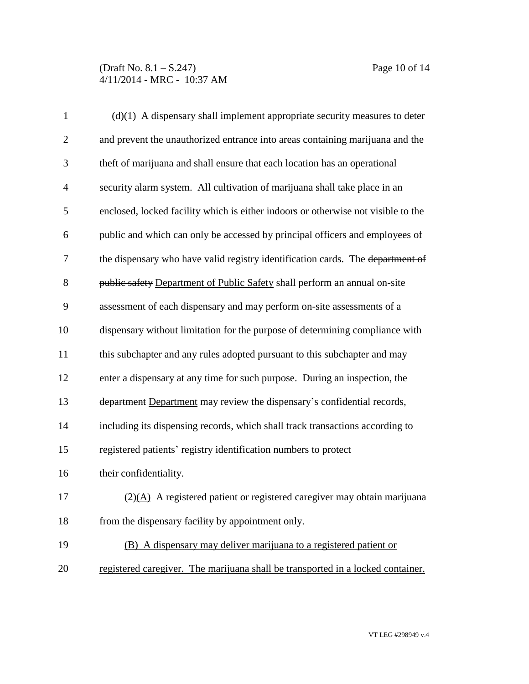| $\mathbf{1}$   | $(d)(1)$ A dispensary shall implement appropriate security measures to deter           |
|----------------|----------------------------------------------------------------------------------------|
| $\mathbf{2}$   | and prevent the unauthorized entrance into areas containing marijuana and the          |
| 3              | theft of marijuana and shall ensure that each location has an operational              |
| $\overline{4}$ | security alarm system. All cultivation of marijuana shall take place in an             |
| 5              | enclosed, locked facility which is either indoors or otherwise not visible to the      |
| 6              | public and which can only be accessed by principal officers and employees of           |
| 7              | the dispensary who have valid registry identification cards. The department of         |
| 8              | public safety Department of Public Safety shall perform an annual on-site              |
| 9              | assessment of each dispensary and may perform on-site assessments of a                 |
| 10             | dispensary without limitation for the purpose of determining compliance with           |
| 11             | this subchapter and any rules adopted pursuant to this subchapter and may              |
| 12             | enter a dispensary at any time for such purpose. During an inspection, the             |
| 13             | department Department may review the dispensary's confidential records,                |
| 14             | including its dispensing records, which shall track transactions according to          |
| 15             | registered patients' registry identification numbers to protect                        |
| 16             | their confidentiality.                                                                 |
| 17             | $(2)(\underline{A})$ A registered patient or registered caregiver may obtain marijuana |
| 18             | from the dispensary facility by appointment only.                                      |
| 19             | (B) A dispensary may deliver marijuana to a registered patient or                      |
| 20             | registered caregiver. The marijuana shall be transported in a locked container.        |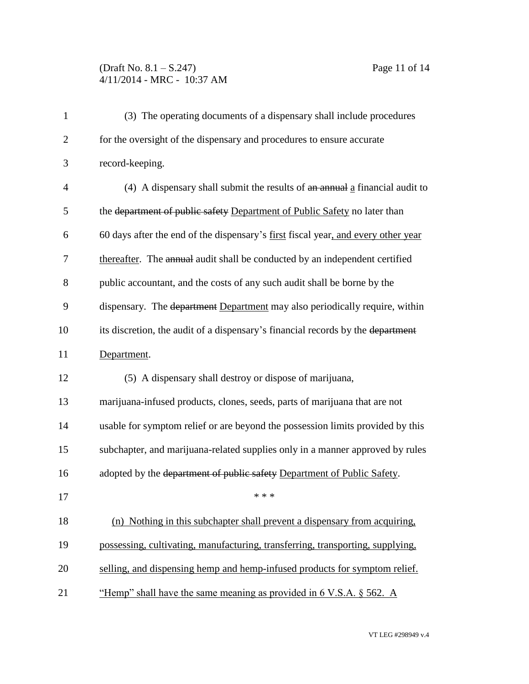## (Draft No. 8.1 – S.247) Page 11 of 14 4/11/2014 - MRC - 10:37 AM

| $\mathbf{1}$   | (3) The operating documents of a dispensary shall include procedures              |
|----------------|-----------------------------------------------------------------------------------|
| $\overline{2}$ | for the oversight of the dispensary and procedures to ensure accurate             |
| 3              | record-keeping.                                                                   |
| $\overline{4}$ | $(4)$ A dispensary shall submit the results of $an$ annual a financial audit to   |
| 5              | the department of public safety Department of Public Safety no later than         |
| 6              | 60 days after the end of the dispensary's first fiscal year, and every other year |
| 7              | thereafter. The annual audit shall be conducted by an independent certified       |
| 8              | public accountant, and the costs of any such audit shall be borne by the          |
| 9              | dispensary. The department Department may also periodically require, within       |
| 10             | its discretion, the audit of a dispensary's financial records by the department   |
| 11             | Department.                                                                       |
| 12             | (5) A dispensary shall destroy or dispose of marijuana,                           |
| 13             | marijuana-infused products, clones, seeds, parts of marijuana that are not        |
| 14             | usable for symptom relief or are beyond the possession limits provided by this    |
| 15             | subchapter, and marijuana-related supplies only in a manner approved by rules     |
| 16             | adopted by the department of public safety Department of Public Safety.           |
| 17             | * * *                                                                             |
| 18             | (n) Nothing in this subchapter shall prevent a dispensary from acquiring,         |
| 19             | possessing, cultivating, manufacturing, transferring, transporting, supplying,    |
| 20             | selling, and dispensing hemp and hemp-infused products for symptom relief.        |
| 21             | "Hemp" shall have the same meaning as provided in $6$ V.S.A. $\S$ 562. A          |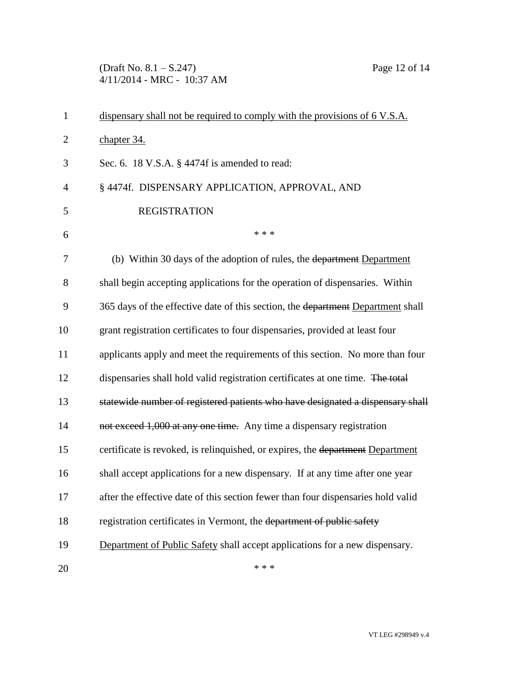(Draft No. 8.1 – S.247) Page 12 of 14 4/11/2014 - MRC - 10:37 AM

| $\mathbf{1}$   | dispensary shall not be required to comply with the provisions of 6 V.S.A.       |
|----------------|----------------------------------------------------------------------------------|
| $\overline{2}$ | chapter 34.                                                                      |
| 3              | Sec. 6. 18 V.S.A. § 4474f is amended to read:                                    |
| $\overline{4}$ | § 4474f. DISPENSARY APPLICATION, APPROVAL, AND                                   |
| 5              | <b>REGISTRATION</b>                                                              |
| 6              | * * *                                                                            |
| 7              | (b) Within 30 days of the adoption of rules, the department Department           |
| 8              | shall begin accepting applications for the operation of dispensaries. Within     |
| 9              | 365 days of the effective date of this section, the department Department shall  |
| 10             | grant registration certificates to four dispensaries, provided at least four     |
| 11             | applicants apply and meet the requirements of this section. No more than four    |
| 12             | dispensaries shall hold valid registration certificates at one time. The total   |
| 13             | statewide number of registered patients who have designated a dispensary shall   |
| 14             | not exceed 1,000 at any one time. Any time a dispensary registration             |
| 15             | certificate is revoked, is relinquished, or expires, the department Department   |
| 16             | shall accept applications for a new dispensary. If at any time after one year    |
| 17             | after the effective date of this section fewer than four dispensaries hold valid |
| 18             | registration certificates in Vermont, the department of public safety            |
| 19             | Department of Public Safety shall accept applications for a new dispensary.      |
| 20             | * * *                                                                            |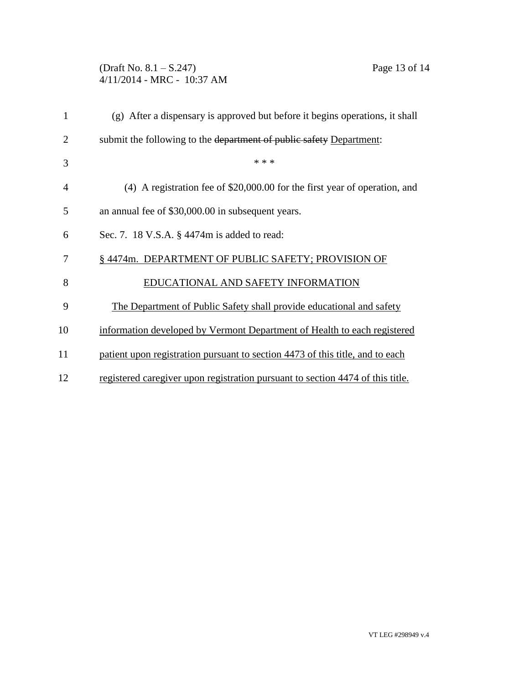(Draft No. 8.1 – S.247) Page 13 of 14 4/11/2014 - MRC - 10:37 AM

| 1              | (g) After a dispensary is approved but before it begins operations, it shall   |
|----------------|--------------------------------------------------------------------------------|
| $\overline{2}$ | submit the following to the department of public safety Department:            |
| 3              | * * *                                                                          |
| 4              | $(4)$ A registration fee of \$20,000.00 for the first year of operation, and   |
| 5              | an annual fee of \$30,000.00 in subsequent years.                              |
| 6              | Sec. 7. 18 V.S.A. § 4474m is added to read:                                    |
| 7              | §4474m. DEPARTMENT OF PUBLIC SAFETY; PROVISION OF                              |
| 8              | EDUCATIONAL AND SAFETY INFORMATION                                             |
| 9              | The Department of Public Safety shall provide educational and safety           |
| 10             | information developed by Vermont Department of Health to each registered       |
| 11             | patient upon registration pursuant to section 4473 of this title, and to each  |
| 12             | registered caregiver upon registration pursuant to section 4474 of this title. |